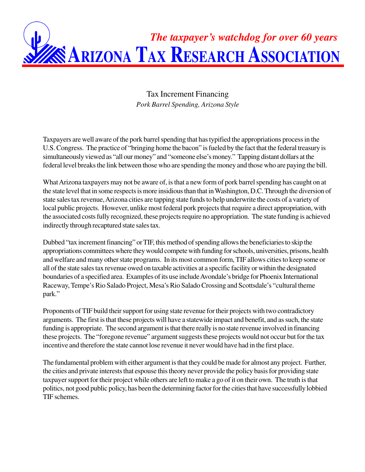

Tax Increment Financing *Pork Barrel Spending, Arizona Style*

Taxpayers are well aware of the pork barrel spending that has typified the appropriations process in the U.S. Congress. The practice of "bringing home the bacon" is fueled by the fact that the federal treasury is simultaneously viewed as "all our money" and "someone else's money." Tapping distant dollars at the federal level breaks the link between those who are spending the money and those who are paying the bill.

What Arizona taxpayers may not be aware of, is that a new form of pork barrel spending has caught on at the state level that in some respects is more insidious than that in Washington, D.C. Through the diversion of state sales tax revenue, Arizona cities are tapping state funds to help underwrite the costs of a variety of local public projects. However, unlike most federal pork projects that require a direct appropriation, with the associated costs fully recognized, these projects require no appropriation. The state funding is achieved indirectly through recaptured state sales tax.

Dubbed "tax increment financing" or TIF, this method of spending allows the beneficiaries to skip the appropriations committees where they would compete with funding for schools, universities, prisons, health and welfare and many other state programs. In its most common form, TIF allows cities to keep some or all of the state sales tax revenue owed on taxable activities at a specific facility or within the designated boundaries of a specified area. Examples of its use include Avondale's bridge for Phoenix International Raceway, Tempe's Rio Salado Project, Mesa's Rio Salado Crossing and Scottsdale's "cultural theme park."

Proponents of TIF build their support for using state revenue for their projects with two contradictory arguments. The first is that these projects will have a statewide impact and benefit, and as such, the state funding is appropriate. The second argument is that there really is no state revenue involved in financing these projects. The "foregone revenue" argument suggests these projects would not occur but for the tax incentive and therefore the state cannot lose revenue it never would have had in the first place.

The fundamental problem with either argument is that they could be made for almost any project. Further, the cities and private interests that espouse this theory never provide the policy basis for providing state taxpayer support for their project while others are left to make a go of it on their own. The truth is that politics, not good public policy, has been the determining factor for the cities that have successfully lobbied TIF schemes.